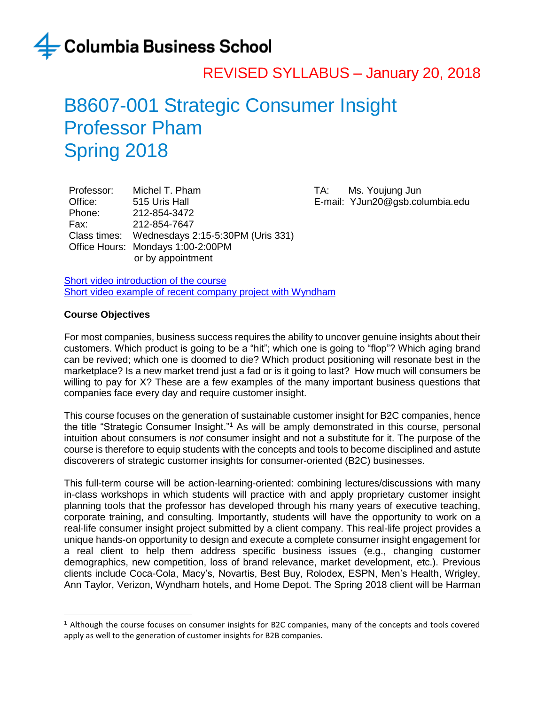### REVISED SYLLABUS – January 20, 2018

### B8607-001 Strategic Consumer Insight Professor Pham Spring 2018

Professor: Michel T. Pham Office: 515 Uris Hall Phone: 212-854-3472 Fax: 212-854-7647 Class times: Wednesdays 2:15-5:30PM (Uris 331) Office Hours: Mondays 1:00-2:00PM or by appointment

TA: Ms. Youjung Jun E-mail: YJun20@gsb.columbia.edu

[Short video introduction of the course](http://www.kaltura.com/index.php/extwidget/preview/partner_id/24852/uiconf_id/20954482/entry_id/1_mggga0ha/embed/iframe?) [Short video example of recent company project](http://www.kaltura.com/tiny/rk3fi) with Wyndham

#### **Course Objectives**

 $\overline{a}$ 

For most companies, business success requires the ability to uncover genuine insights about their customers. Which product is going to be a "hit"; which one is going to "flop"? Which aging brand can be revived; which one is doomed to die? Which product positioning will resonate best in the marketplace? Is a new market trend just a fad or is it going to last? How much will consumers be willing to pay for X? These are a few examples of the many important business questions that companies face every day and require customer insight.

This course focuses on the generation of sustainable customer insight for B2C companies, hence the title "Strategic Consumer Insight."<sup>1</sup> As will be amply demonstrated in this course, personal intuition about consumers is *not* consumer insight and not a substitute for it. The purpose of the course is therefore to equip students with the concepts and tools to become disciplined and astute discoverers of strategic customer insights for consumer-oriented (B2C) businesses.

This full-term course will be action-learning-oriented: combining lectures/discussions with many in-class workshops in which students will practice with and apply proprietary customer insight planning tools that the professor has developed through his many years of executive teaching, corporate training, and consulting. Importantly, students will have the opportunity to work on a real-life consumer insight project submitted by a client company. This real-life project provides a unique hands-on opportunity to design and execute a complete consumer insight engagement for a real client to help them address specific business issues (e.g., changing customer demographics, new competition, loss of brand relevance, market development, etc.). Previous clients include Coca-Cola, Macy's, Novartis, Best Buy, Rolodex, ESPN, Men's Health, Wrigley, Ann Taylor, Verizon, Wyndham hotels, and Home Depot. The Spring 2018 client will be Harman

<sup>1</sup> Although the course focuses on consumer insights for B2C companies, many of the concepts and tools covered apply as well to the generation of customer insights for B2B companies.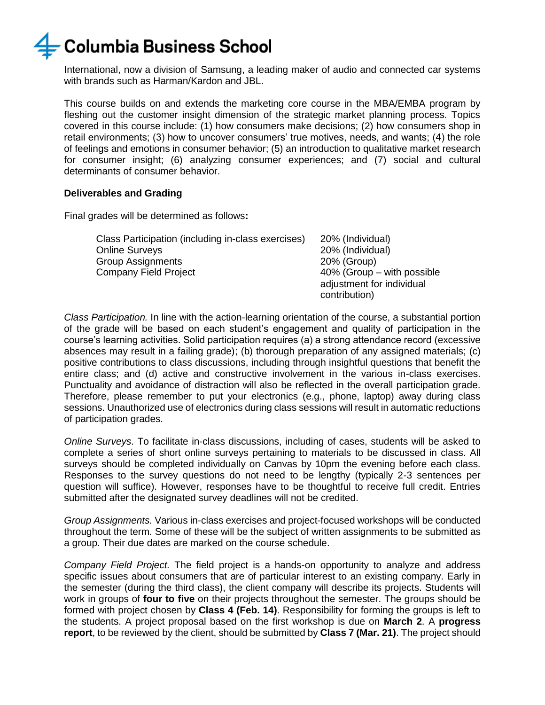International, now a division of Samsung, a leading maker of audio and connected car systems with brands such as Harman/Kardon and JBL.

This course builds on and extends the marketing core course in the MBA/EMBA program by fleshing out the customer insight dimension of the strategic market planning process. Topics covered in this course include: (1) how consumers make decisions; (2) how consumers shop in retail environments; (3) how to uncover consumers' true motives, needs, and wants; (4) the role of feelings and emotions in consumer behavior; (5) an introduction to qualitative market research for consumer insight; (6) analyzing consumer experiences; and (7) social and cultural determinants of consumer behavior.

#### **Deliverables and Grading**

Final grades will be determined as follows**:**

| Class Participation (including in-class exercises) | 20% (Individual)              |
|----------------------------------------------------|-------------------------------|
| <b>Online Surveys</b>                              | 20% (Individual)              |
| <b>Group Assignments</b>                           | 20% (Group)                   |
| Company Field Project                              | $40\%$ (Group – with possible |
|                                                    | adjustment for individual     |
|                                                    | contribution)                 |

*Class Participation.* In line with the action-learning orientation of the course, a substantial portion of the grade will be based on each student's engagement and quality of participation in the course's learning activities. Solid participation requires (a) a strong attendance record (excessive absences may result in a failing grade); (b) thorough preparation of any assigned materials; (c) positive contributions to class discussions, including through insightful questions that benefit the entire class; and (d) active and constructive involvement in the various in-class exercises. Punctuality and avoidance of distraction will also be reflected in the overall participation grade. Therefore, please remember to put your electronics (e.g., phone, laptop) away during class sessions. Unauthorized use of electronics during class sessions will result in automatic reductions of participation grades.

*Online Surveys*. To facilitate in-class discussions, including of cases, students will be asked to complete a series of short online surveys pertaining to materials to be discussed in class. All surveys should be completed individually on Canvas by 10pm the evening before each class. Responses to the survey questions do not need to be lengthy (typically 2-3 sentences per question will suffice). However, responses have to be thoughtful to receive full credit. Entries submitted after the designated survey deadlines will not be credited.

*Group Assignments.* Various in-class exercises and project-focused workshops will be conducted throughout the term. Some of these will be the subject of written assignments to be submitted as a group. Their due dates are marked on the course schedule.

*Company Field Project.* The field project is a hands-on opportunity to analyze and address specific issues about consumers that are of particular interest to an existing company. Early in the semester (during the third class), the client company will describe its projects. Students will work in groups of **four to five** on their projects throughout the semester. The groups should be formed with project chosen by **Class 4 (Feb. 14)**. Responsibility for forming the groups is left to the students. A project proposal based on the first workshop is due on **March 2**. A **progress report**, to be reviewed by the client, should be submitted by **Class 7 (Mar. 21)**. The project should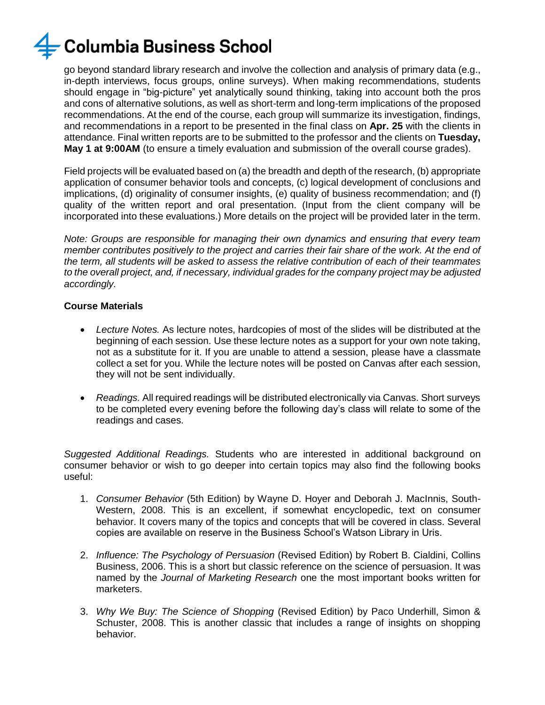go beyond standard library research and involve the collection and analysis of primary data (e.g., in-depth interviews, focus groups, online surveys). When making recommendations, students should engage in "big-picture" yet analytically sound thinking, taking into account both the pros and cons of alternative solutions, as well as short-term and long-term implications of the proposed recommendations. At the end of the course, each group will summarize its investigation, findings, and recommendations in a report to be presented in the final class on **Apr. 25** with the clients in attendance. Final written reports are to be submitted to the professor and the clients on **Tuesday, May 1 at 9:00AM** (to ensure a timely evaluation and submission of the overall course grades).

Field projects will be evaluated based on (a) the breadth and depth of the research, (b) appropriate application of consumer behavior tools and concepts, (c) logical development of conclusions and implications, (d) originality of consumer insights, (e) quality of business recommendation; and (f) quality of the written report and oral presentation. (Input from the client company will be incorporated into these evaluations.) More details on the project will be provided later in the term.

*Note: Groups are responsible for managing their own dynamics and ensuring that every team member contributes positively to the project and carries their fair share of the work. At the end of the term, all students will be asked to assess the relative contribution of each of their teammates to the overall project, and, if necessary, individual grades for the company project may be adjusted accordingly.* 

#### **Course Materials**

- *Lecture Notes.* As lecture notes, hardcopies of most of the slides will be distributed at the beginning of each session. Use these lecture notes as a support for your own note taking, not as a substitute for it. If you are unable to attend a session, please have a classmate collect a set for you. While the lecture notes will be posted on Canvas after each session, they will not be sent individually.
- *Readings.* All required readings will be distributed electronically via Canvas. Short surveys to be completed every evening before the following day's class will relate to some of the readings and cases.

*Suggested Additional Readings.* Students who are interested in additional background on consumer behavior or wish to go deeper into certain topics may also find the following books useful:

- 1. *Consumer Behavior* (5th Edition) by Wayne D. Hoyer and Deborah J. MacInnis, South-Western, 2008. This is an excellent, if somewhat encyclopedic, text on consumer behavior. It covers many of the topics and concepts that will be covered in class. Several copies are available on reserve in the Business School's Watson Library in Uris.
- 2. *Influence: The Psychology of Persuasion* (Revised Edition) by Robert B. Cialdini, Collins Business, 2006. This is a short but classic reference on the science of persuasion. It was named by the *Journal of Marketing Research* one the most important books written for marketers.
- 3. *Why We Buy: The Science of Shopping* (Revised Edition) by Paco Underhill, Simon & Schuster, 2008. This is another classic that includes a range of insights on shopping behavior.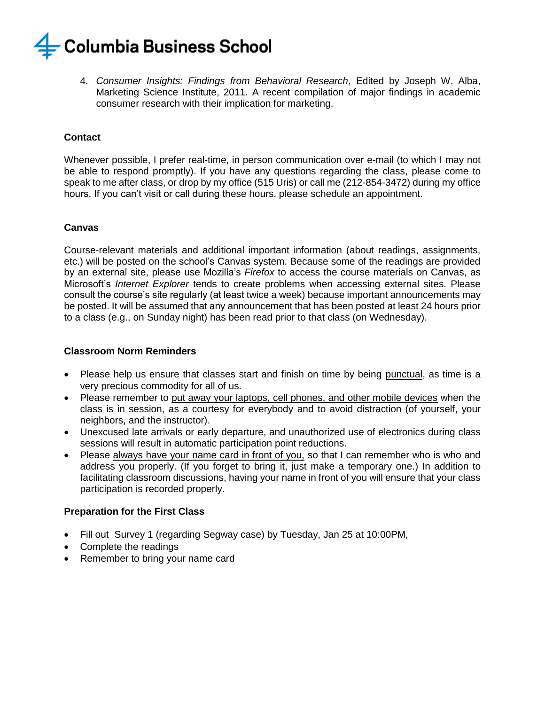

4. *Consumer Insights: Findings from Behavioral Research*, Edited by Joseph W. Alba, Marketing Science Institute, 2011. A recent compilation of major findings in academic consumer research with their implication for marketing.

#### **Contact**

Whenever possible, I prefer real-time, in person communication over e-mail (to which I may not be able to respond promptly). If you have any questions regarding the class, please come to speak to me after class, or drop by my office (515 Uris) or call me (212-854-3472) during my office hours. If you can't visit or call during these hours, please schedule an appointment.

#### **Canvas**

Course-relevant materials and additional important information (about readings, assignments, etc.) will be posted on the school's Canvas system. Because some of the readings are provided by an external site, please use Mozilla's *Firefox* to access the course materials on Canvas, as Microsoft's *Internet Explorer* tends to create problems when accessing external sites. Please consult the course's site regularly (at least twice a week) because important announcements may be posted. It will be assumed that any announcement that has been posted at least 24 hours prior to a class (e.g., on Sunday night) has been read prior to that class (on Wednesday).

#### **Classroom Norm Reminders**

- Please help us ensure that classes start and finish on time by being punctual, as time is a very precious commodity for all of us.
- Please remember to put away your laptops, cell phones, and other mobile devices when the class is in session, as a courtesy for everybody and to avoid distraction (of yourself, your neighbors, and the instructor).
- Unexcused late arrivals or early departure, and unauthorized use of electronics during class sessions will result in automatic participation point reductions.
- Please always have your name card in front of you, so that I can remember who is who and address you properly. (If you forget to bring it, just make a temporary one.) In addition to facilitating classroom discussions, having your name in front of you will ensure that your class participation is recorded properly.

#### **Preparation for the First Class**

- Fill out Survey 1 (regarding Segway case) by Tuesday, Jan 25 at 10:00PM,
- Complete the readings
- Remember to bring your name card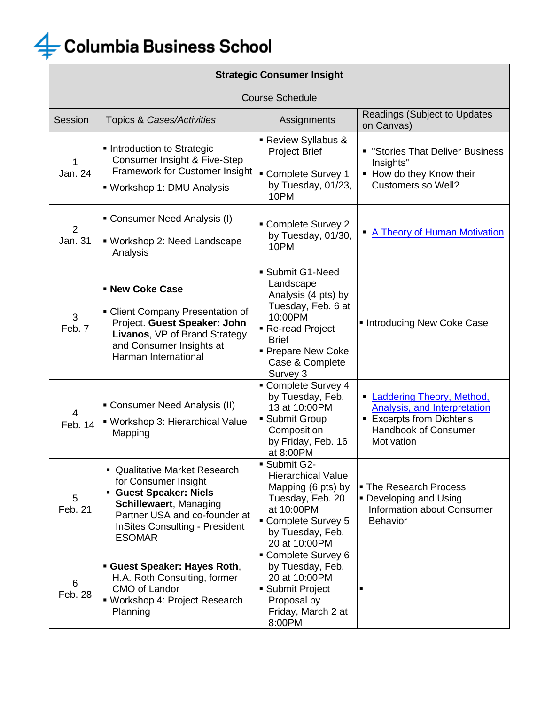

| <b>Strategic Consumer Insight</b> |                                                                                                                                                                                                  |                                                                                                                                                                                  |                                                                                                                                                        |  |
|-----------------------------------|--------------------------------------------------------------------------------------------------------------------------------------------------------------------------------------------------|----------------------------------------------------------------------------------------------------------------------------------------------------------------------------------|--------------------------------------------------------------------------------------------------------------------------------------------------------|--|
| <b>Course Schedule</b>            |                                                                                                                                                                                                  |                                                                                                                                                                                  |                                                                                                                                                        |  |
| Session                           | <b>Topics &amp; Cases/Activities</b>                                                                                                                                                             | Assignments                                                                                                                                                                      | <b>Readings (Subject to Updates</b><br>on Canvas)                                                                                                      |  |
| 1<br>Jan. 24                      | Introduction to Strategic<br>Consumer Insight & Five-Step<br>Framework for Customer Insight<br>• Workshop 1: DMU Analysis                                                                        | Review Syllabus &<br><b>Project Brief</b><br>Complete Survey 1<br>by Tuesday, 01/23,<br>10PM                                                                                     | <b>• "Stories That Deliver Business</b><br>Insights"<br>• How do they Know their<br><b>Customers so Well?</b>                                          |  |
| 2<br>Jan. 31                      | • Consumer Need Analysis (I)<br>" Workshop 2: Need Landscape<br>Analysis                                                                                                                         | Complete Survey 2<br>by Tuesday, 01/30,<br>10PM                                                                                                                                  | • A Theory of Human Motivation                                                                                                                         |  |
| 3<br>Feb. 7                       | - New Coke Case<br>• Client Company Presentation of<br>Project. Guest Speaker: John<br>Livanos, VP of Brand Strategy<br>and Consumer Insights at<br>Harman International                         | Submit G1-Need<br>Landscape<br>Analysis (4 pts) by<br>Tuesday, Feb. 6 at<br>10:00PM<br>Re-read Project<br><b>Brief</b><br><b>Prepare New Coke</b><br>Case & Complete<br>Survey 3 | Introducing New Coke Case                                                                                                                              |  |
| 4<br>Feb. 14                      | • Consumer Need Analysis (II)<br>• Workshop 3: Hierarchical Value<br>Mapping                                                                                                                     | Complete Survey 4<br>by Tuesday, Feb.<br>13 at 10:00PM<br>• Submit Group<br>Composition<br>by Friday, Feb. 16<br>at 8:00PM                                                       | <b>Laddering Theory, Method,</b><br><b>Analysis, and Interpretation</b><br><b>Excerpts from Dichter's</b><br><b>Handbook of Consumer</b><br>Motivation |  |
| 5<br>Feb. 21                      | Qualitative Market Research<br>for Consumer Insight<br>Guest Speaker: Niels<br>Schillewaert, Managing<br>Partner USA and co-founder at<br><b>InSites Consulting - President</b><br><b>ESOMAR</b> | Submit G2-<br><b>Hierarchical Value</b><br>Mapping (6 pts) by<br>Tuesday, Feb. 20<br>at 10:00PM<br>• Complete Survey 5<br>by Tuesday, Feb.<br>20 at 10:00PM                      | • The Research Process<br>• Developing and Using<br>Information about Consumer<br><b>Behavior</b>                                                      |  |
| 6<br>Feb. 28                      | <b>Guest Speaker: Hayes Roth,</b><br>H.A. Roth Consulting, former<br>CMO of Landor<br>• Workshop 4: Project Research<br>Planning                                                                 | • Complete Survey 6<br>by Tuesday, Feb.<br>20 at 10:00PM<br>• Submit Project<br>Proposal by<br>Friday, March 2 at<br>8:00PM                                                      |                                                                                                                                                        |  |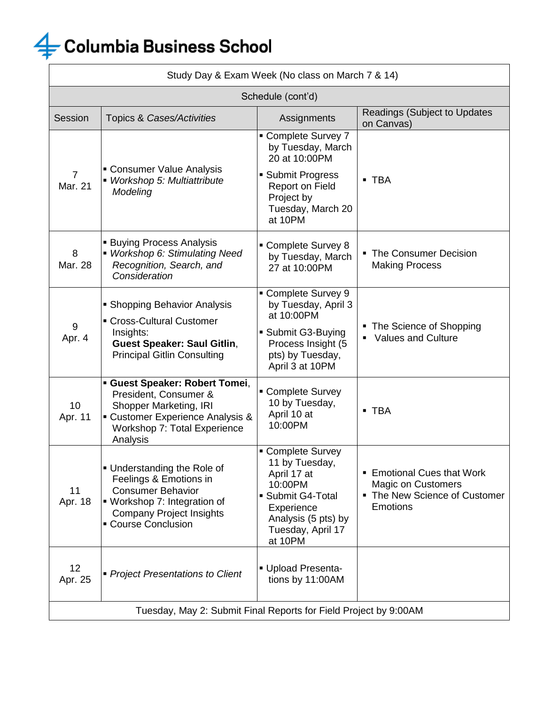| Study Day & Exam Week (No class on March 7 & 14)                 |                                                                                                                                                                             |                                                                                                                                                       |                                                                                                                  |
|------------------------------------------------------------------|-----------------------------------------------------------------------------------------------------------------------------------------------------------------------------|-------------------------------------------------------------------------------------------------------------------------------------------------------|------------------------------------------------------------------------------------------------------------------|
| Schedule (cont'd)                                                |                                                                                                                                                                             |                                                                                                                                                       |                                                                                                                  |
| Session                                                          | Topics & Cases/Activities                                                                                                                                                   | Assignments                                                                                                                                           | <b>Readings (Subject to Updates</b><br>on Canvas)                                                                |
| $\overline{7}$<br>Mar. 21                                        | • Consumer Value Analysis<br>• Workshop 5: Multiattribute<br>Modeling                                                                                                       | Complete Survey 7<br>by Tuesday, March<br>20 at 10:00PM                                                                                               |                                                                                                                  |
|                                                                  |                                                                                                                                                                             | • Submit Progress<br>Report on Field<br>Project by<br>Tuesday, March 20<br>at 10PM                                                                    | • TBA                                                                                                            |
| 8<br>Mar. 28                                                     | <b>Buying Process Analysis</b><br>• Workshop 6: Stimulating Need<br>Recognition, Search, and<br>Consideration                                                               | • Complete Survey 8<br>by Tuesday, March<br>27 at 10:00PM                                                                                             | • The Consumer Decision<br><b>Making Process</b>                                                                 |
| $9\,$<br>Apr. 4                                                  | • Shopping Behavior Analysis<br>• Cross-Cultural Customer<br>Insights:<br><b>Guest Speaker: Saul Gitlin,</b><br><b>Principal Gitlin Consulting</b>                          | • Complete Survey 9<br>by Tuesday, April 3<br>at 10:00PM                                                                                              |                                                                                                                  |
|                                                                  |                                                                                                                                                                             | • Submit G3-Buying<br>Process Insight (5<br>pts) by Tuesday,<br>April 3 at 10PM                                                                       | The Science of Shopping<br><b>Values and Culture</b><br>٠                                                        |
| 10<br>Apr. 11                                                    | <b>- Guest Speaker: Robert Tomei,</b><br>President, Consumer &<br>Shopper Marketing, IRI<br>• Customer Experience Analysis &<br>Workshop 7: Total Experience<br>Analysis    | • Complete Survey<br>10 by Tuesday,<br>April 10 at<br>10:00PM                                                                                         | ■ TBA                                                                                                            |
| 11<br>Apr. 18                                                    | • Understanding the Role of<br>Feelings & Emotions in<br><b>Consumer Behavior</b><br>• Workshop 7: Integration of<br><b>Company Project Insights</b><br>• Course Conclusion | • Complete Survey<br>11 by Tuesday,<br>April 17 at<br>10:00PM<br>Submit G4-Total<br>Experience<br>Analysis (5 pts) by<br>Tuesday, April 17<br>at 10PM | <b>Emotional Cues that Work</b><br><b>Magic on Customers</b><br>• The New Science of Customer<br><b>Emotions</b> |
| 12<br>Apr. 25                                                    | • Project Presentations to Client                                                                                                                                           | Upload Presenta-<br>tions by 11:00AM                                                                                                                  |                                                                                                                  |
| Tuesday, May 2: Submit Final Reports for Field Project by 9:00AM |                                                                                                                                                                             |                                                                                                                                                       |                                                                                                                  |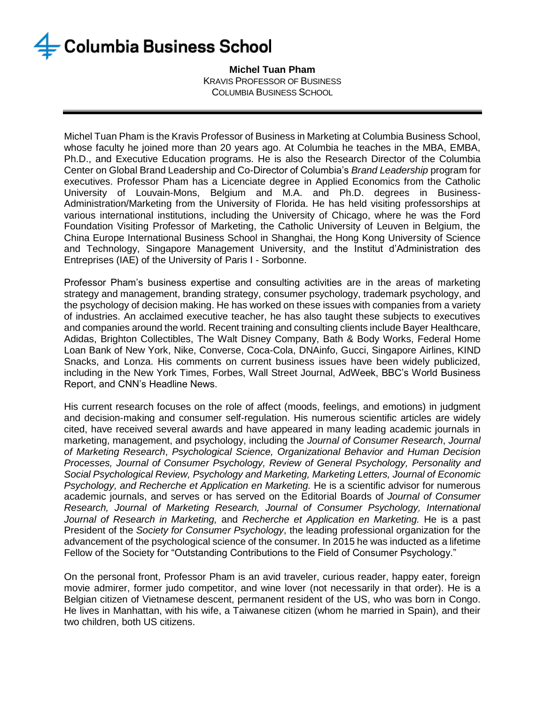**Michel Tuan Pham** KRAVIS PROFESSOR OF BUSINESS COLUMBIA BUSINESS SCHOOL

Michel Tuan Pham is the Kravis Professor of Business in Marketing at Columbia Business School, whose faculty he joined more than 20 years ago. At Columbia he teaches in the MBA, EMBA, Ph.D., and Executive Education programs. He is also the Research Director of the Columbia Center on Global Brand Leadership and Co-Director of Columbia's *Brand Leadership* program for executives. Professor Pham has a Licenciate degree in Applied Economics from the Catholic University of Louvain-Mons, Belgium and M.A. and Ph.D. degrees in Business-Administration/Marketing from the University of Florida. He has held visiting professorships at various international institutions, including the University of Chicago, where he was the Ford Foundation Visiting Professor of Marketing, the Catholic University of Leuven in Belgium, the China Europe International Business School in Shanghai, the Hong Kong University of Science and Technology, Singapore Management University, and the Institut d'Administration des Entreprises (IAE) of the University of Paris I - Sorbonne.

Professor Pham's business expertise and consulting activities are in the areas of marketing strategy and management, branding strategy, consumer psychology, trademark psychology, and the psychology of decision making. He has worked on these issues with companies from a variety of industries. An acclaimed executive teacher, he has also taught these subjects to executives and companies around the world. Recent training and consulting clients include Bayer Healthcare, Adidas, Brighton Collectibles, The Walt Disney Company, Bath & Body Works, Federal Home Loan Bank of New York, Nike, Converse, Coca-Cola, DNAinfo, Gucci, Singapore Airlines, KIND Snacks, and Lonza. His comments on current business issues have been widely publicized, including in the New York Times, Forbes, Wall Street Journal, AdWeek, BBC's World Business Report, and CNN's Headline News.

His current research focuses on the role of affect (moods, feelings, and emotions) in judgment and decision-making and consumer self-regulation. His numerous scientific articles are widely cited, have received several awards and have appeared in many leading academic journals in marketing, management, and psychology, including the *Journal of Consumer Research*, *Journal of Marketing Research*, *Psychological Science, Organizational Behavior and Human Decision Processes, Journal of Consumer Psychology, Review of General Psychology, Personality and Social Psychological Review, Psychology and Marketing, Marketing Letters, Journal of Economic Psychology, and Recherche et Application en Marketing.* He is a scientific advisor for numerous academic journals, and serves or has served on the Editorial Boards of *Journal of Consumer Research, Journal of Marketing Research, Journal of Consumer Psychology, International Journal of Research in Marketing,* and *Recherche et Application en Marketing.* He is a past President of the *Society for Consumer Psychology*, the leading professional organization for the advancement of the psychological science of the consumer. In 2015 he was inducted as a lifetime Fellow of the Society for "Outstanding Contributions to the Field of Consumer Psychology."

On the personal front, Professor Pham is an avid traveler, curious reader, happy eater, foreign movie admirer, former judo competitor, and wine lover (not necessarily in that order). He is a Belgian citizen of Vietnamese descent, permanent resident of the US, who was born in Congo. He lives in Manhattan, with his wife, a Taiwanese citizen (whom he married in Spain), and their two children, both US citizens.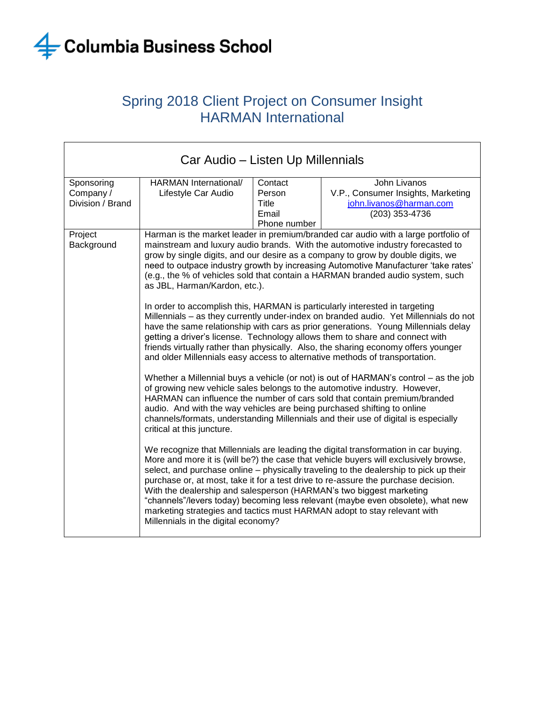

### Spring 2018 Client Project on Consumer Insight HARMAN International

| Car Audio – Listen Up Millennials           |                                                                                                                                                                                                                                                                                                                                                                                                                                                                                                                                                                                                                                         |                                                     |                                                                                                                                                                                                                                                                                                                                                                                                                                                                                                                |
|---------------------------------------------|-----------------------------------------------------------------------------------------------------------------------------------------------------------------------------------------------------------------------------------------------------------------------------------------------------------------------------------------------------------------------------------------------------------------------------------------------------------------------------------------------------------------------------------------------------------------------------------------------------------------------------------------|-----------------------------------------------------|----------------------------------------------------------------------------------------------------------------------------------------------------------------------------------------------------------------------------------------------------------------------------------------------------------------------------------------------------------------------------------------------------------------------------------------------------------------------------------------------------------------|
| Sponsoring<br>Company /<br>Division / Brand | HARMAN International/<br>Lifestyle Car Audio                                                                                                                                                                                                                                                                                                                                                                                                                                                                                                                                                                                            | Contact<br>Person<br>Title<br>Email<br>Phone number | John Livanos<br>V.P., Consumer Insights, Marketing<br>john.livanos@harman.com<br>(203) 353-4736                                                                                                                                                                                                                                                                                                                                                                                                                |
| Project<br>Background                       | Harman is the market leader in premium/branded car audio with a large portfolio of<br>mainstream and luxury audio brands. With the automotive industry forecasted to<br>grow by single digits, and our desire as a company to grow by double digits, we<br>need to outpace industry growth by increasing Automotive Manufacturer 'take rates'<br>(e.g., the % of vehicles sold that contain a HARMAN branded audio system, such<br>as JBL, Harman/Kardon, etc.).                                                                                                                                                                        |                                                     |                                                                                                                                                                                                                                                                                                                                                                                                                                                                                                                |
|                                             |                                                                                                                                                                                                                                                                                                                                                                                                                                                                                                                                                                                                                                         |                                                     | In order to accomplish this, HARMAN is particularly interested in targeting<br>Millennials - as they currently under-index on branded audio. Yet Millennials do not<br>have the same relationship with cars as prior generations. Young Millennials delay<br>getting a driver's license. Technology allows them to share and connect with<br>friends virtually rather than physically. Also, the sharing economy offers younger<br>and older Millennials easy access to alternative methods of transportation. |
|                                             | Whether a Millennial buys a vehicle (or not) is out of HARMAN's control – as the job<br>of growing new vehicle sales belongs to the automotive industry. However,<br>HARMAN can influence the number of cars sold that contain premium/branded<br>audio. And with the way vehicles are being purchased shifting to online<br>channels/formats, understanding Millennials and their use of digital is especially<br>critical at this juncture.                                                                                                                                                                                           |                                                     |                                                                                                                                                                                                                                                                                                                                                                                                                                                                                                                |
|                                             | We recognize that Millennials are leading the digital transformation in car buying.<br>More and more it is (will be?) the case that vehicle buyers will exclusively browse,<br>select, and purchase online - physically traveling to the dealership to pick up their<br>purchase or, at most, take it for a test drive to re-assure the purchase decision.<br>With the dealership and salesperson (HARMAN's two biggest marketing<br>"channels"/levers today) becoming less relevant (maybe even obsolete), what new<br>marketing strategies and tactics must HARMAN adopt to stay relevant with<br>Millennials in the digital economy? |                                                     |                                                                                                                                                                                                                                                                                                                                                                                                                                                                                                                |